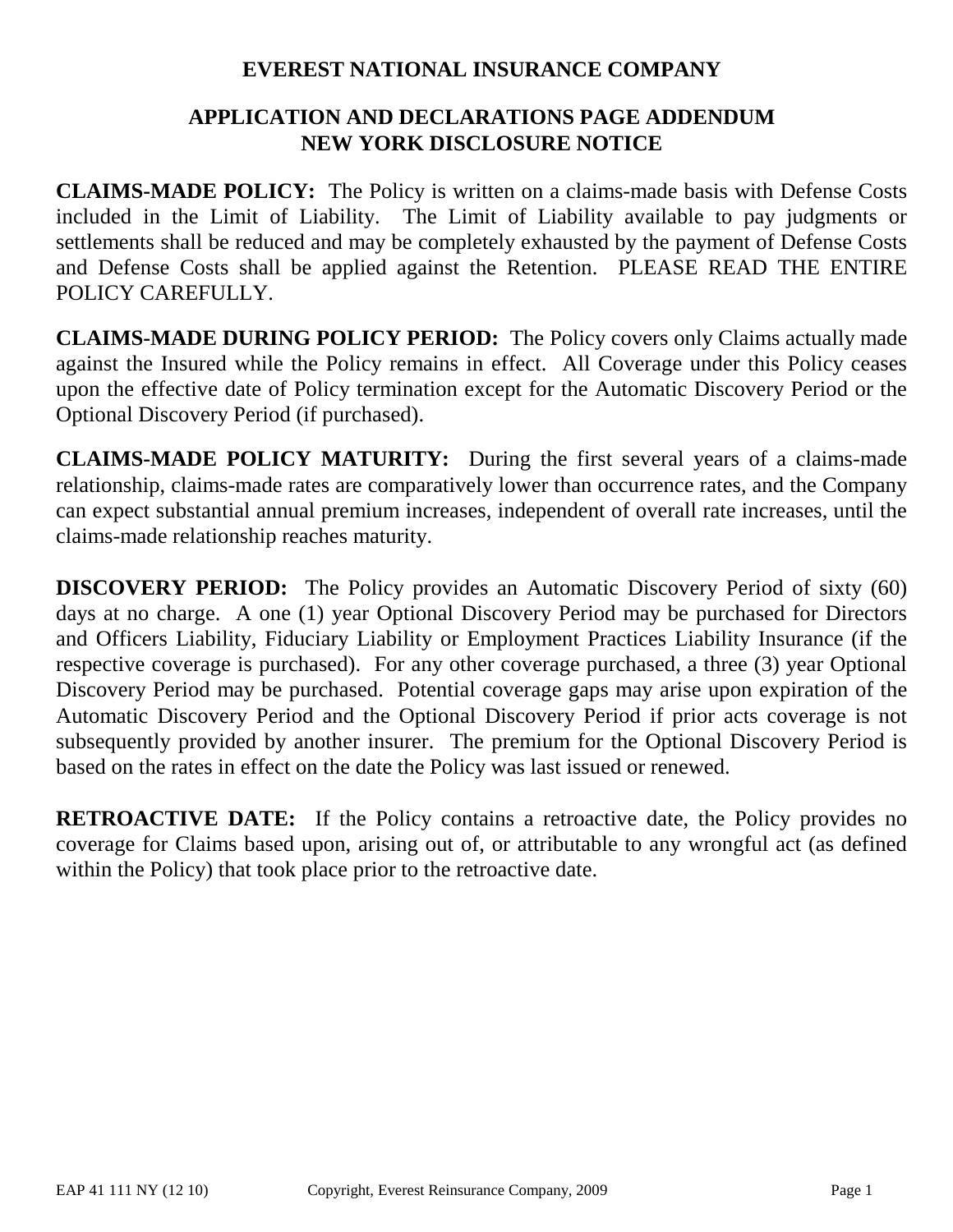# **EVEREST NATIONAL INSURANCE COMPANY**

# **APPLICATION AND DECLARATIONS PAGE ADDENDUM NEW YORK DISCLOSURE NOTICE**

**CLAIMS-MADE POLICY:** The Policy is written on a claims-made basis with Defense Costs included in the Limit of Liability. The Limit of Liability available to pay judgments or settlements shall be reduced and may be completely exhausted by the payment of Defense Costs and Defense Costs shall be applied against the Retention. PLEASE READ THE ENTIRE POLICY CAREFULLY.

**CLAIMS-MADE DURING POLICY PERIOD:** The Policy covers only Claims actually made against the Insured while the Policy remains in effect. All Coverage under this Policy ceases upon the effective date of Policy termination except for the Automatic Discovery Period or the Optional Discovery Period (if purchased).

**CLAIMS-MADE POLICY MATURITY:** During the first several years of a claims-made relationship, claims-made rates are comparatively lower than occurrence rates, and the Company can expect substantial annual premium increases, independent of overall rate increases, until the claims-made relationship reaches maturity.

**DISCOVERY PERIOD:** The Policy provides an Automatic Discovery Period of sixty (60) days at no charge. A one (1) year Optional Discovery Period may be purchased for Directors and Officers Liability, Fiduciary Liability or Employment Practices Liability Insurance (if the respective coverage is purchased). For any other coverage purchased, a three (3) year Optional Discovery Period may be purchased. Potential coverage gaps may arise upon expiration of the Automatic Discovery Period and the Optional Discovery Period if prior acts coverage is not subsequently provided by another insurer. The premium for the Optional Discovery Period is based on the rates in effect on the date the Policy was last issued or renewed.

**RETROACTIVE DATE:** If the Policy contains a retroactive date, the Policy provides no coverage for Claims based upon, arising out of, or attributable to any wrongful act (as defined within the Policy) that took place prior to the retroactive date.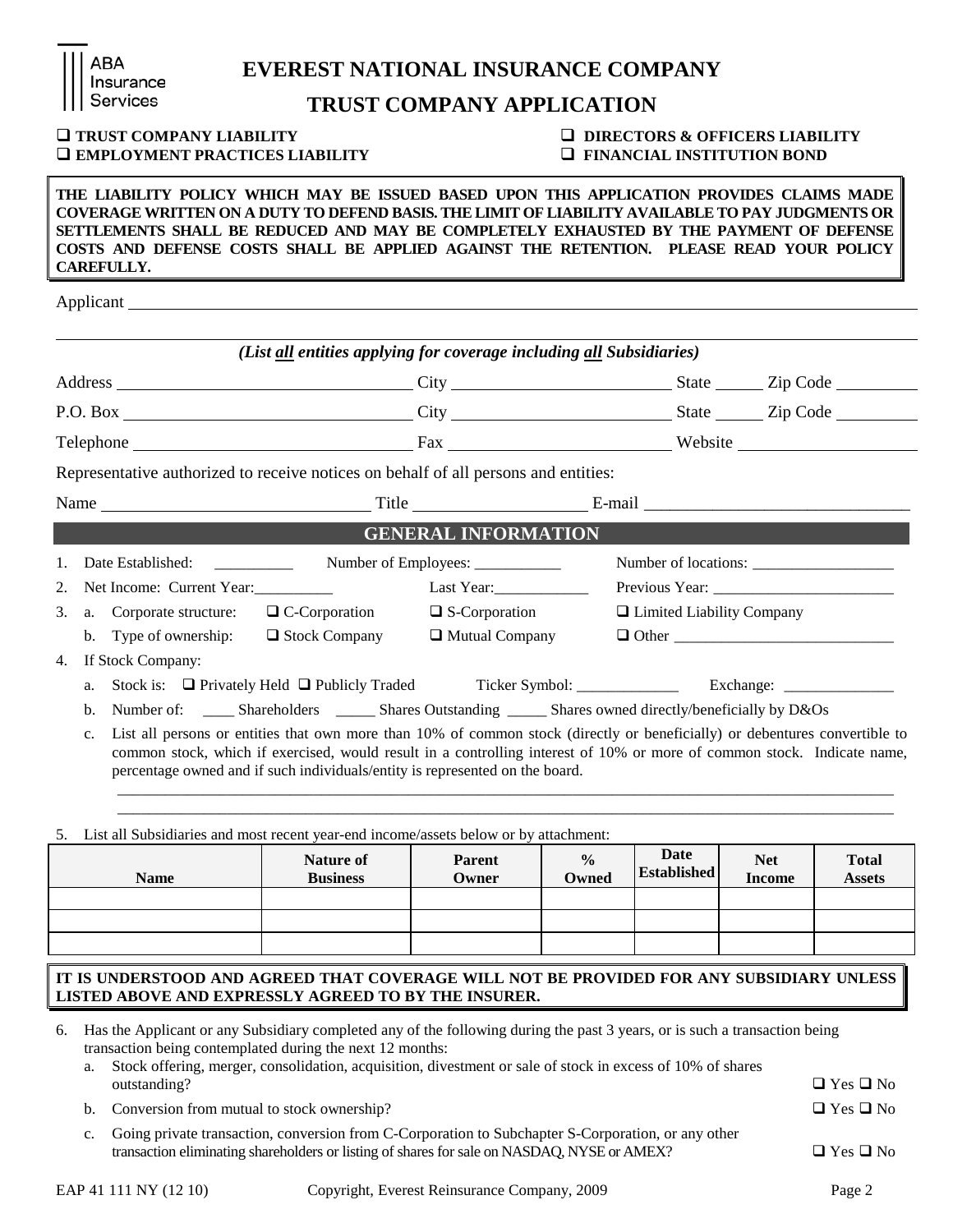|                                                                                                                     | <b>Insurance</b><br>Services                                                                                                                                                                                                                                                                                                                                                                     | TRUST COMPANY APPLICATION                                                    |                                                                                                                                                                                                                                                        |  |  |
|---------------------------------------------------------------------------------------------------------------------|--------------------------------------------------------------------------------------------------------------------------------------------------------------------------------------------------------------------------------------------------------------------------------------------------------------------------------------------------------------------------------------------------|------------------------------------------------------------------------------|--------------------------------------------------------------------------------------------------------------------------------------------------------------------------------------------------------------------------------------------------------|--|--|
|                                                                                                                     | <b>TRUST COMPANY LIABILITY</b><br><b>EMPLOYMENT PRACTICES LIABILITY</b>                                                                                                                                                                                                                                                                                                                          | $\Box$ DIRECTORS & OFFICERS LIABILITY<br><b>Q FINANCIAL INSTITUTION BOND</b> |                                                                                                                                                                                                                                                        |  |  |
|                                                                                                                     | THE LIABILITY POLICY WHICH MAY BE ISSUED BASED UPON THIS APPLICATION PROVIDES CLAIMS MADE<br>COVERAGE WRITTEN ON A DUTY TO DEFEND BASIS. THE LIMIT OF LIABILITY AVAILABLE TO PAY JUDGMENTS OR<br>SETTLEMENTS SHALL BE REDUCED AND MAY BE COMPLETELY EXHAUSTED BY THE PAYMENT OF DEFENSE<br>COSTS AND DEFENSE COSTS SHALL BE APPLIED AGAINST THE RETENTION. PLEASE READ YOUR POLICY<br>CAREFULLY. |                                                                              |                                                                                                                                                                                                                                                        |  |  |
|                                                                                                                     |                                                                                                                                                                                                                                                                                                                                                                                                  |                                                                              |                                                                                                                                                                                                                                                        |  |  |
|                                                                                                                     | (List all entities applying for coverage including all Subsidiaries)                                                                                                                                                                                                                                                                                                                             |                                                                              |                                                                                                                                                                                                                                                        |  |  |
|                                                                                                                     |                                                                                                                                                                                                                                                                                                                                                                                                  |                                                                              |                                                                                                                                                                                                                                                        |  |  |
|                                                                                                                     |                                                                                                                                                                                                                                                                                                                                                                                                  |                                                                              |                                                                                                                                                                                                                                                        |  |  |
|                                                                                                                     |                                                                                                                                                                                                                                                                                                                                                                                                  |                                                                              |                                                                                                                                                                                                                                                        |  |  |
|                                                                                                                     | Representative authorized to receive notices on behalf of all persons and entities:                                                                                                                                                                                                                                                                                                              |                                                                              |                                                                                                                                                                                                                                                        |  |  |
|                                                                                                                     |                                                                                                                                                                                                                                                                                                                                                                                                  |                                                                              |                                                                                                                                                                                                                                                        |  |  |
|                                                                                                                     |                                                                                                                                                                                                                                                                                                                                                                                                  | <b>GENERAL INFORMATION</b>                                                   |                                                                                                                                                                                                                                                        |  |  |
| 1.                                                                                                                  |                                                                                                                                                                                                                                                                                                                                                                                                  | Number of Employees: _____________                                           |                                                                                                                                                                                                                                                        |  |  |
| 2.                                                                                                                  | Net Income: Current Year:                                                                                                                                                                                                                                                                                                                                                                        | Last Year:                                                                   |                                                                                                                                                                                                                                                        |  |  |
| 3.                                                                                                                  | a. Corporate structure:<br>$\Box$ C-Corporation                                                                                                                                                                                                                                                                                                                                                  | $\Box$ S-Corporation                                                         | □ Limited Liability Company                                                                                                                                                                                                                            |  |  |
| $\Box$ Stock Company<br>b. Type of ownership:                                                                       |                                                                                                                                                                                                                                                                                                                                                                                                  | $\Box$ Mutual Company                                                        |                                                                                                                                                                                                                                                        |  |  |
| 4.                                                                                                                  | If Stock Company:                                                                                                                                                                                                                                                                                                                                                                                |                                                                              |                                                                                                                                                                                                                                                        |  |  |
| Stock is: $\Box$ Privately Held $\Box$ Publicly Traded Ticker Symbol: ______________ Exchange: ______________<br>a. |                                                                                                                                                                                                                                                                                                                                                                                                  |                                                                              |                                                                                                                                                                                                                                                        |  |  |
|                                                                                                                     | Number of: _____ Shareholders ______ Shares Outstanding _____ Shares owned directly/beneficially by D&Os<br>b.                                                                                                                                                                                                                                                                                   |                                                                              |                                                                                                                                                                                                                                                        |  |  |
|                                                                                                                     | c.<br>percentage owned and if such individuals/entity is represented on the board.                                                                                                                                                                                                                                                                                                               |                                                                              | List all persons or entities that own more than 10% of common stock (directly or beneficially) or debentures convertible to<br>common stock, which if exercised, would result in a controlling interest of 10% or more of common stock. Indicate name, |  |  |

**EVEREST NATIONAL INSURANCE COMPANY**

## 5. List all Subsidiaries and most recent year-end income/assets below or by attachment:

| <b>Name</b> | <b>Nature of</b> | <b>Parent</b> | $\frac{0}{0}$ | Date               | <b>Net</b>    | <b>Total</b>  |
|-------------|------------------|---------------|---------------|--------------------|---------------|---------------|
|             | <b>Business</b>  | Owner         | Owned         | <b>Established</b> | <b>Income</b> | <b>Assets</b> |
|             |                  |               |               |                    |               |               |

\_\_\_\_\_\_\_\_\_\_\_\_\_\_\_\_\_\_\_\_\_\_\_\_\_\_\_\_\_\_\_\_\_\_\_\_\_\_\_\_\_\_\_\_\_\_\_\_\_\_\_\_\_\_\_\_\_\_\_\_\_\_\_\_\_\_\_\_\_\_\_\_\_\_\_\_\_\_\_\_\_\_\_\_\_\_\_\_\_\_\_\_\_\_\_\_\_\_\_

## **IT IS UNDERSTOOD AND AGREED THAT COVERAGE WILL NOT BE PROVIDED FOR ANY SUBSIDIARY UNLESS LISTED ABOVE AND EXPRESSLY AGREED TO BY THE INSURER.**

- 6. Has the Applicant or any Subsidiary completed any of the following during the past 3 years, or is such a transaction being transaction being contemplated during the next 12 months:
	- a. Stock offering, merger, consolidation, acquisition, divestment or sale of stock in excess of 10% of shares outstanding?  $\Box$  Yes  $\Box$  No
	- b. Conversion from mutual to stock ownership?  $\Box$  Yes  $\Box$  No
	- c. Going private transaction, conversion from C-Corporation to Subchapter S-Corporation, or any other transaction eliminating shareholders or listing of shares for sale on NASDAQ, NYSE or AMEX?  $\Box$  Yes  $\Box$  No

ABA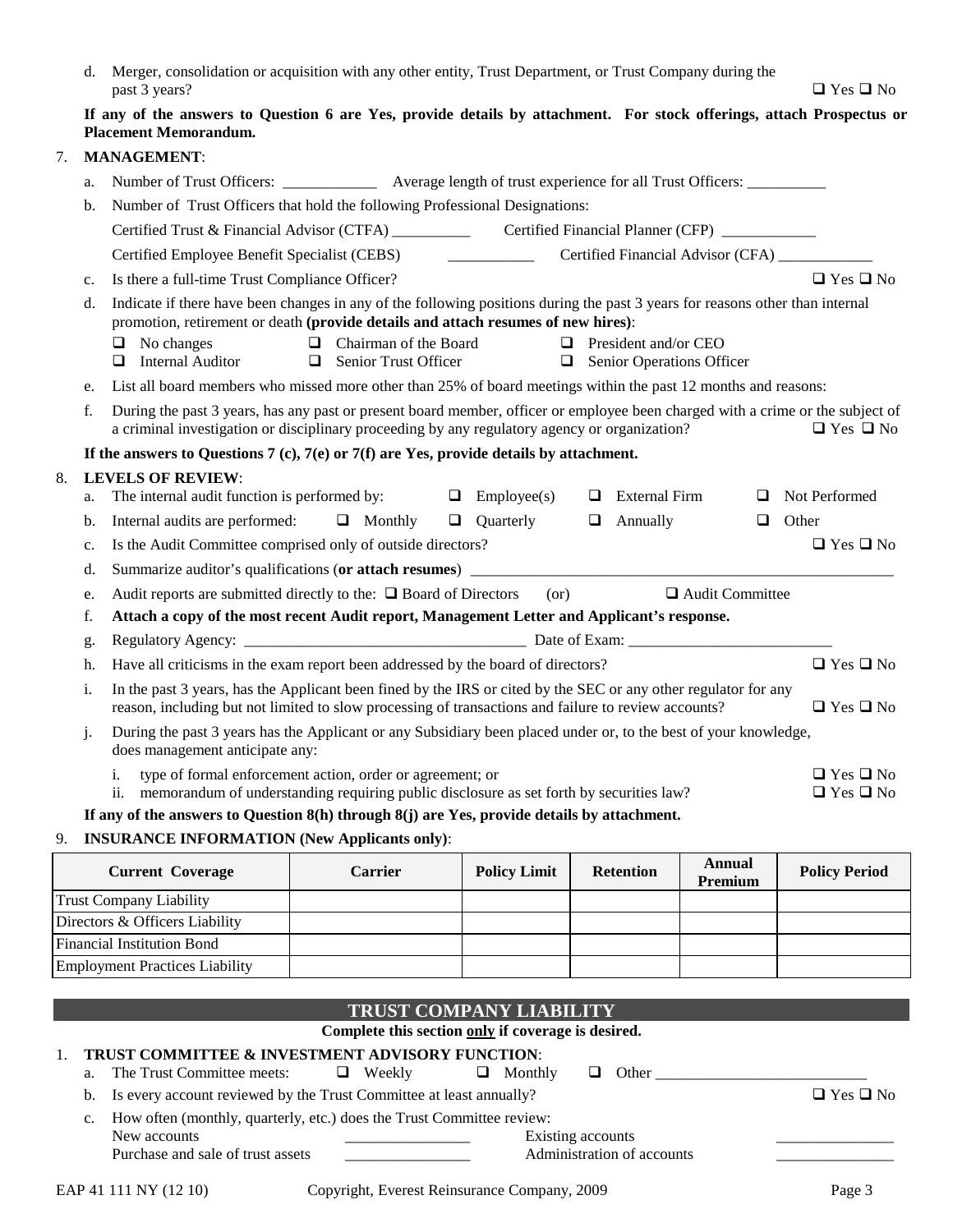| d. Merger, consolidation or acquisition with any other entity, Trust Department, or Trust Company during the |                      |
|--------------------------------------------------------------------------------------------------------------|----------------------|
| past 3 years?                                                                                                | $\Box$ Yes $\Box$ No |

#### **If any of the answers to Question 6 are Yes, provide details by attachment. For stock offerings, attach Prospectus or Placement Memorandum.**

#### 7. **MANAGEMENT**:

|    | a. | Number of Trust Officers: ________________ Average length of trust experience for all Trust Officers:                                                                                                                                                   |  |  |  |  |  |
|----|----|---------------------------------------------------------------------------------------------------------------------------------------------------------------------------------------------------------------------------------------------------------|--|--|--|--|--|
|    | b. | Number of Trust Officers that hold the following Professional Designations:                                                                                                                                                                             |  |  |  |  |  |
|    |    |                                                                                                                                                                                                                                                         |  |  |  |  |  |
|    |    | Certified Financial Advisor (CFA)<br>Certified Employee Benefit Specialist (CEBS)                                                                                                                                                                       |  |  |  |  |  |
|    | c. | $\Box$ Yes $\Box$ No<br>Is there a full-time Trust Compliance Officer?                                                                                                                                                                                  |  |  |  |  |  |
|    | d. | Indicate if there have been changes in any of the following positions during the past 3 years for reasons other than internal<br>promotion, retirement or death (provide details and attach resumes of new hires):                                      |  |  |  |  |  |
|    |    | Chairman of the Board<br>No changes<br>$\Box$<br>$\Box$ President and/or CEO<br>$\Box$<br><b>Internal Auditor</b><br>Senior Trust Officer<br>❏<br>$\Box$<br>Senior Operations Officer<br>$\Box$                                                         |  |  |  |  |  |
|    | e. | List all board members who missed more other than 25% of board meetings within the past 12 months and reasons:                                                                                                                                          |  |  |  |  |  |
|    | f. | During the past 3 years, has any past or present board member, officer or employee been charged with a crime or the subject of<br>a criminal investigation or disciplinary proceeding by any regulatory agency or organization?<br>$\Box$ Yes $\Box$ No |  |  |  |  |  |
|    |    | If the answers to Questions 7 (c), 7(e) or 7(f) are Yes, provide details by attachment.                                                                                                                                                                 |  |  |  |  |  |
| 8. |    | <b>LEVELS OF REVIEW:</b>                                                                                                                                                                                                                                |  |  |  |  |  |
|    | a. | The internal audit function is performed by:<br>Not Performed<br>$\Box$ Employee(s)<br>$\Box$ External Firm<br>□                                                                                                                                        |  |  |  |  |  |
|    | b. | Internal audits are performed: $\Box$ Monthly<br>$\Box$ Ouarterly<br>$\Box$ Annually<br>Other<br>□                                                                                                                                                      |  |  |  |  |  |
|    | c. | Is the Audit Committee comprised only of outside directors?<br>$\Box$ Yes $\Box$ No                                                                                                                                                                     |  |  |  |  |  |
|    | d. |                                                                                                                                                                                                                                                         |  |  |  |  |  |
|    | e. | Audit reports are submitted directly to the: $\Box$ Board of Directors<br>(or)<br>$\Box$ Audit Committee                                                                                                                                                |  |  |  |  |  |
|    | f. | Attach a copy of the most recent Audit report, Management Letter and Applicant's response.                                                                                                                                                              |  |  |  |  |  |
|    | g. |                                                                                                                                                                                                                                                         |  |  |  |  |  |
|    | h. | Have all criticisms in the exam report been addressed by the board of directors?<br>$\Box$ Yes $\Box$ No                                                                                                                                                |  |  |  |  |  |
|    | i. | In the past 3 years, has the Applicant been fined by the IRS or cited by the SEC or any other regulator for any<br>reason, including but not limited to slow processing of transactions and failure to review accounts?<br>$\Box$ Yes $\Box$ No         |  |  |  |  |  |
|    | j. | During the past 3 years has the Applicant or any Subsidiary been placed under or, to the best of your knowledge,<br>does management anticipate any:                                                                                                     |  |  |  |  |  |
|    |    | type of formal enforcement action, order or agreement; or<br>$\Box$ Yes $\Box$ No<br>i.<br>memorandum of understanding requiring public disclosure as set forth by securities law?<br>ii.<br>$\square$<br>Yes $\square$<br>No                           |  |  |  |  |  |
|    |    | If any of the answers to Question 8(h) through 8(j) are Yes, provide details by attachment.                                                                                                                                                             |  |  |  |  |  |
|    |    | <b>INSUE A NOE INEODMATION (Now Applicants only):</b>                                                                                                                                                                                                   |  |  |  |  |  |

#### 9. **INSURANCE INFORMATION (New Applicants only)**:

| <b>Current Coverage</b>               | Carrier | <b>Policy Limit</b> | <b>Retention</b> | Annual<br>Premium | <b>Policy Period</b> |
|---------------------------------------|---------|---------------------|------------------|-------------------|----------------------|
| <b>Trust Company Liability</b>        |         |                     |                  |                   |                      |
| Directors & Officers Liability        |         |                     |                  |                   |                      |
| <b>Financial Institution Bond</b>     |         |                     |                  |                   |                      |
| <b>Employment Practices Liability</b> |         |                     |                  |                   |                      |

## **TRUST COMPANY LIABILITY**

#### **Complete this section only if coverage is desired.**

#### 1. **TRUST COMMITTEE & INVESTMENT ADVISORY FUNCTION**:

- a. The Trust Committee meets:  $\Box$  Weekly  $\Box$  Monthly  $\Box$  Other
- b. Is every account reviewed by the Trust Committee at least annually?  $\Box$  Yes  $\Box$  No
- c. How often (monthly, quarterly, etc.) does the Trust Committee review:
- New accounts **Existing accounts Existing accounts** Purchase and sale of trust assets **Administration of accounts**  $\alpha$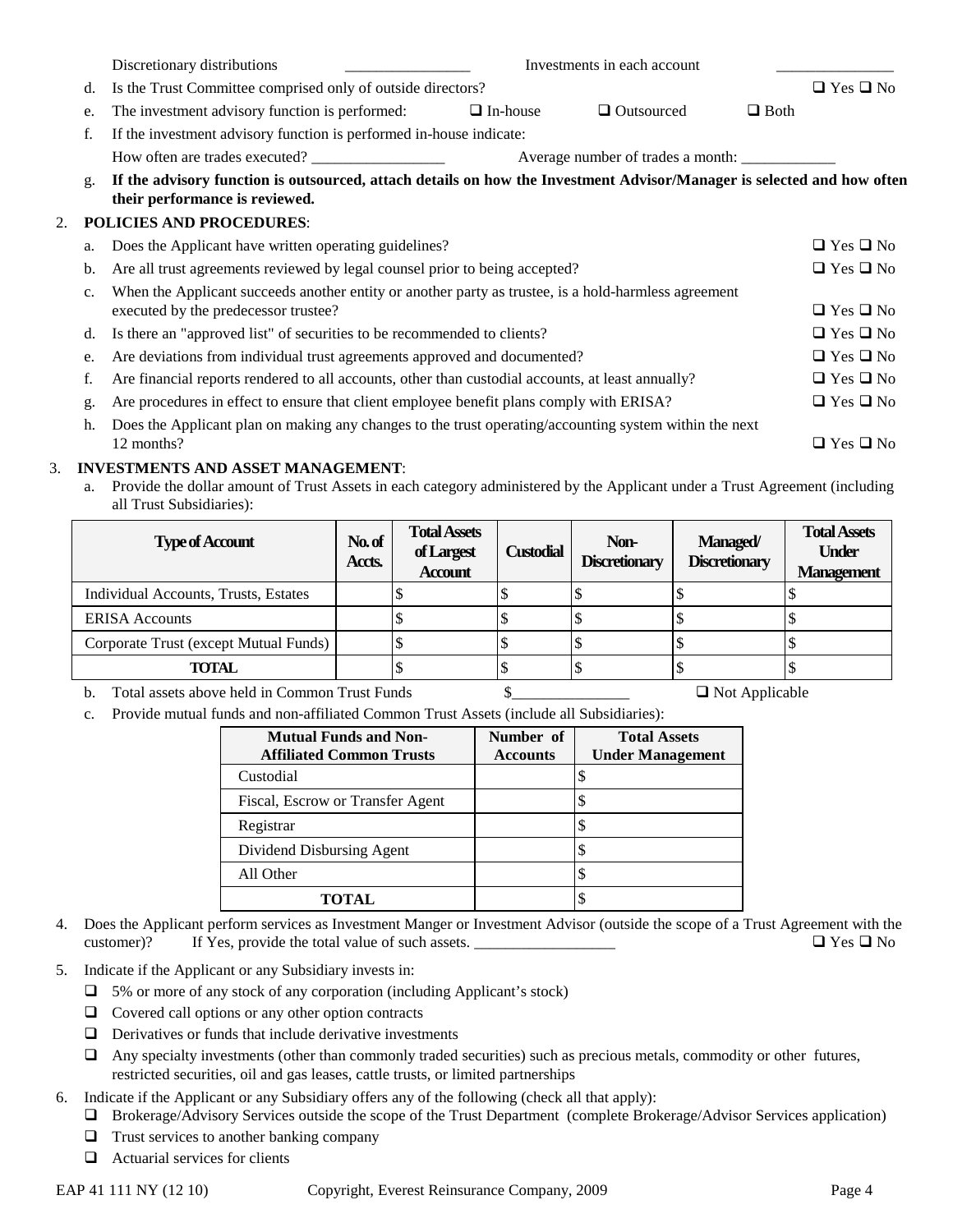|    |    | Discretionary distributions<br>Investments in each account                                                                                               |                 |                   |             |                      |
|----|----|----------------------------------------------------------------------------------------------------------------------------------------------------------|-----------------|-------------------|-------------|----------------------|
|    | d. | Is the Trust Committee comprised only of outside directors?                                                                                              |                 |                   |             | $\Box$ Yes $\Box$ No |
|    | e. | The investment advisory function is performed:                                                                                                           | $\Box$ In-house | $\Box$ Outsourced | $\Box$ Both |                      |
|    | f. | If the investment advisory function is performed in-house indicate:                                                                                      |                 |                   |             |                      |
|    |    | How often are trades executed?                                                                                                                           |                 |                   |             |                      |
|    | g. | If the advisory function is outsourced, attach details on how the Investment Advisor/Manager is selected and how often<br>their performance is reviewed. |                 |                   |             |                      |
| 2. |    | <b>POLICIES AND PROCEDURES:</b>                                                                                                                          |                 |                   |             |                      |
|    | a. | Does the Applicant have written operating guidelines?                                                                                                    |                 |                   |             | $\Box$ Yes $\Box$ No |
|    | b. | Are all trust agreements reviewed by legal counsel prior to being accepted?                                                                              |                 |                   |             | $\Box$ Yes $\Box$ No |
|    | c. | When the Applicant succeeds another entity or another party as trustee, is a hold-harmless agreement<br>executed by the predecessor trustee?             |                 |                   |             | $\Box$ Yes $\Box$ No |
|    | d. | Is there an "approved list" of securities to be recommended to clients?                                                                                  |                 |                   |             | $\Box$ Yes $\Box$ No |
|    | e. | Are deviations from individual trust agreements approved and documented?                                                                                 |                 |                   |             | $\Box$ Yes $\Box$ No |
|    | f. | Are financial reports rendered to all accounts, other than custodial accounts, at least annually?                                                        |                 |                   |             | $\Box$ Yes $\Box$ No |
|    | g. | Are procedures in effect to ensure that client employee benefit plans comply with ERISA?                                                                 |                 |                   |             | $\Box$ Yes $\Box$ No |
|    | h. | Does the Applicant plan on making any changes to the trust operating/accounting system within the next<br>12 months?                                     |                 |                   |             | $\Box$ Yes $\Box$ No |

#### 3. **INVESTMENTS AND ASSET MANAGEMENT**:

a. Provide the dollar amount of Trust Assets in each category administered by the Applicant under a Trust Agreement (including all Trust Subsidiaries):

| <b>Type of Account</b>                | No.of<br>Accts. | <b>Total Assets</b><br>of Largest<br><b>Account</b> | <b>Custodial</b> | Non-<br><b>Discretionary</b> | <b>Managed/</b><br><b>Discretionary</b> | <b>Total Assets</b><br><b>Under</b><br><b>Management</b> |
|---------------------------------------|-----------------|-----------------------------------------------------|------------------|------------------------------|-----------------------------------------|----------------------------------------------------------|
| Individual Accounts, Trusts, Estates  |                 |                                                     |                  |                              |                                         |                                                          |
| <b>ERISA</b> Accounts                 |                 |                                                     |                  |                              |                                         |                                                          |
| Corporate Trust (except Mutual Funds) |                 |                                                     |                  |                              |                                         |                                                          |
| <b>TOTAL</b>                          |                 |                                                     |                  |                              |                                         |                                                          |

b. Total assets above held in Common Trust Funds \$\_\_\_\_\_\_\_\_\_\_\_\_\_\_\_ Not Applicable

c. Provide mutual funds and non-affiliated Common Trust Assets (include all Subsidiaries):

| <b>Mutual Funds and Non-</b><br><b>Affiliated Common Trusts</b> | Number of<br><b>Accounts</b> | <b>Total Assets</b><br><b>Under Management</b> |
|-----------------------------------------------------------------|------------------------------|------------------------------------------------|
| Custodial                                                       |                              |                                                |
| Fiscal, Escrow or Transfer Agent                                |                              |                                                |
| Registrar                                                       |                              |                                                |
| Dividend Disbursing Agent                                       |                              |                                                |
| All Other                                                       |                              |                                                |
| TOTAL.                                                          |                              |                                                |

- 4. Does the Applicant perform services as Investment Manger or Investment Advisor (outside the scope of a Trust Agreement with the customer)? If Yes, provide the total value of such assets. \_\_\_\_\_\_\_\_\_\_\_\_\_\_\_\_\_\_ Yes No
- 5. Indicate if the Applicant or any Subsidiary invests in:
	- 5% or more of any stock of any corporation (including Applicant's stock)
	- $\Box$  Covered call options or any other option contracts
	- $\Box$  Derivatives or funds that include derivative investments
	- Any specialty investments (other than commonly traded securities) such as precious metals, commodity or other futures, restricted securities, oil and gas leases, cattle trusts, or limited partnerships
- 6. Indicate if the Applicant or any Subsidiary offers any of the following (check all that apply):
	- Brokerage/Advisory Services outside the scope of the Trust Department (complete Brokerage/Advisor Services application)
	- $\Box$  Trust services to another banking company
	- $\Box$  Actuarial services for clients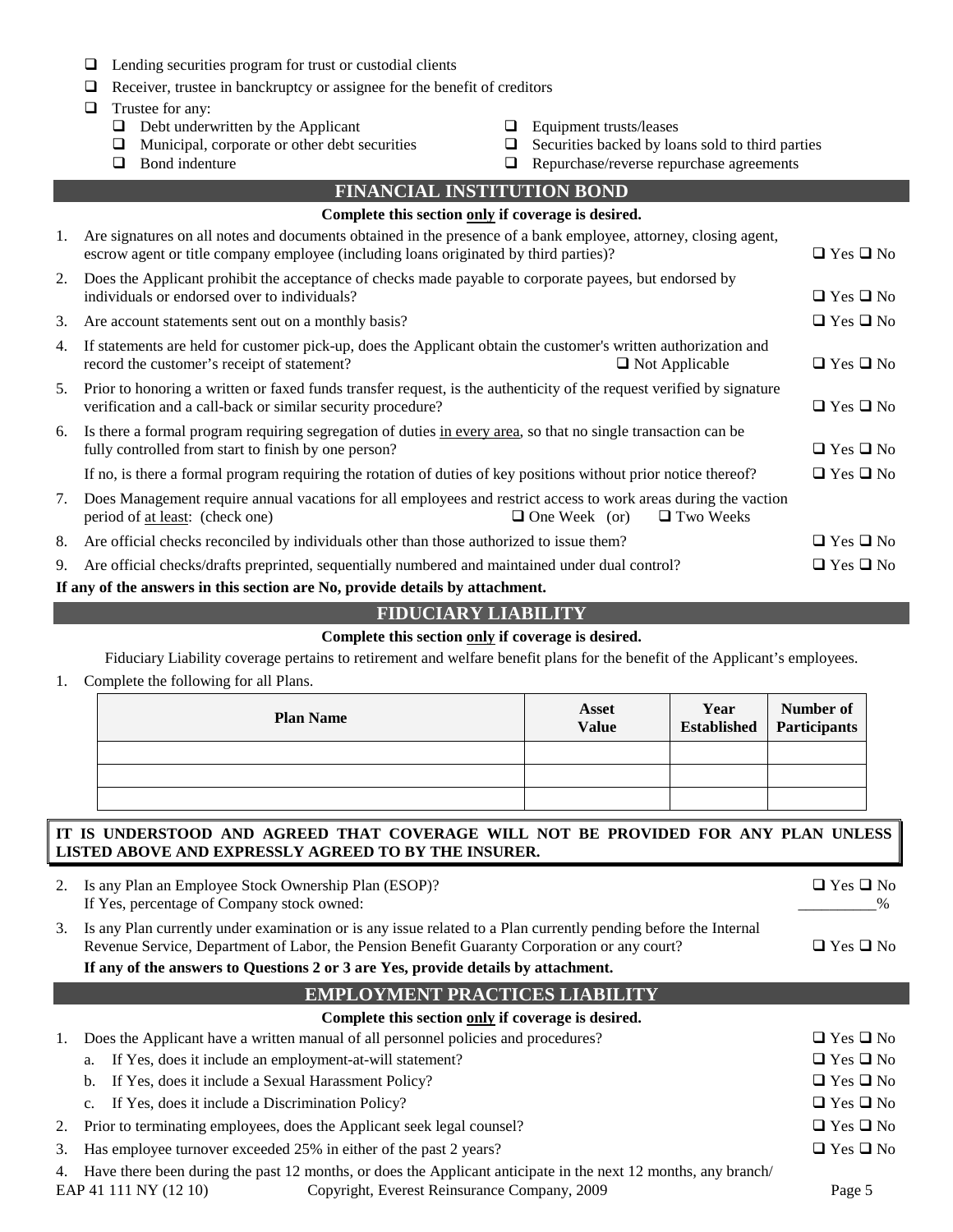- $\Box$  Lending securities program for trust or custodial clients
- $\Box$  Receiver, trustee in banckruptcy or assignee for the benefit of creditors
- $\Box$  Trustee for any:
	- $\Box$  Debt underwritten by the Applicant  $\Box$  Equipment trusts/leases
	-
	-
- 
- $\Box$  Municipal, corporate or other debt securities  $\Box$  Securities backed by loans sold to third parties
- Bond indenture Repurchase/reverse repurchase agreements

|    | <b>FINANCIAL INSTITUTION BOND</b>                                                                                                                                                                        |                      |  |  |  |  |
|----|----------------------------------------------------------------------------------------------------------------------------------------------------------------------------------------------------------|----------------------|--|--|--|--|
|    | Complete this section only if coverage is desired.                                                                                                                                                       |                      |  |  |  |  |
| 1. | Are signatures on all notes and documents obtained in the presence of a bank employee, attorney, closing agent,<br>escrow agent or title company employee (including loans originated by third parties)? | $\Box$ Yes $\Box$ No |  |  |  |  |
| 2. | Does the Applicant prohibit the acceptance of checks made payable to corporate payees, but endorsed by<br>individuals or endorsed over to individuals?                                                   | $\Box$ Yes $\Box$ No |  |  |  |  |
| 3. | Are account statements sent out on a monthly basis?                                                                                                                                                      | $\Box$ Yes $\Box$ No |  |  |  |  |
| 4. | If statements are held for customer pick-up, does the Applicant obtain the customer's written authorization and<br>record the customer's receipt of statement?<br>$\Box$ Not Applicable                  | $\Box$ Yes $\Box$ No |  |  |  |  |
| 5. | Prior to honoring a written or faxed funds transfer request, is the authenticity of the request verified by signature<br>verification and a call-back or similar security procedure?                     | $\Box$ Yes $\Box$ No |  |  |  |  |
| 6. | Is there a formal program requiring segregation of duties in every area, so that no single transaction can be<br>fully controlled from start to finish by one person?                                    | $\Box$ Yes $\Box$ No |  |  |  |  |
|    | If no, is there a formal program requiring the rotation of duties of key positions without prior notice thereof?                                                                                         | $\Box$ Yes $\Box$ No |  |  |  |  |
| 7. | Does Management require annual vacations for all employees and restrict access to work areas during the vaction<br>$\Box$ One Week (or)<br>$\Box$ Two Weeks<br>period of <u>at least</u> : (check one)   |                      |  |  |  |  |
| 8. | Are official checks reconciled by individuals other than those authorized to issue them?                                                                                                                 | $\Box$ Yes $\Box$ No |  |  |  |  |
| 9. | Are official checks/drafts preprinted, sequentially numbered and maintained under dual control?                                                                                                          | $\Box$ Yes $\Box$ No |  |  |  |  |
|    | If any of the answers in this section are No, provide details by attachment.                                                                                                                             |                      |  |  |  |  |

## **FIDUCIARY LIABILITY**

#### **Complete this section only if coverage is desired.**

Fiduciary Liability coverage pertains to retirement and welfare benefit plans for the benefit of the Applicant's employees.

1. Complete the following for all Plans.

| <b>Plan Name</b> | Asset<br><b>Value</b> | Year<br>Established | Number of<br>Participants |
|------------------|-----------------------|---------------------|---------------------------|
|                  |                       |                     |                           |
|                  |                       |                     |                           |
|                  |                       |                     |                           |

## **IT IS UNDERSTOOD AND AGREED THAT COVERAGE WILL NOT BE PROVIDED FOR ANY PLAN UNLESS LISTED ABOVE AND EXPRESSLY AGREED TO BY THE INSURER.**

| 2. | Is any Plan an Employee Stock Ownership Plan (ESOP)?<br>If Yes, percentage of Company stock owned:                                                                                                                                                                                                   | $\Box$ Yes $\Box$ No |
|----|------------------------------------------------------------------------------------------------------------------------------------------------------------------------------------------------------------------------------------------------------------------------------------------------------|----------------------|
| 3. | Is any Plan currently under examination or is any issue related to a Plan currently pending before the Internal<br>Revenue Service, Department of Labor, the Pension Benefit Guaranty Corporation or any court?<br>If any of the answers to Questions 2 or 3 are Yes, provide details by attachment. | $\Box$ Yes $\Box$ No |
|    | <b>EMPLOYMENT PRACTICES LIABILITY</b>                                                                                                                                                                                                                                                                |                      |
|    | Complete this section only if coverage is desired.                                                                                                                                                                                                                                                   |                      |
|    | Does the Applicant have a written manual of all personnel policies and procedures?                                                                                                                                                                                                                   | $\Box$ Yes $\Box$ No |
|    | If Yes, does it include an employment-at-will statement?<br>a.                                                                                                                                                                                                                                       | $\Box$ Yes $\Box$ No |

- b. If Yes, does it include a Sexual Harassment Policy?  $\Box$  Yes  $\Box$  Yes  $\Box$  No
- c. If Yes, does it include a Discrimination Policy?  $\Box$  Yes  $\Box$  No
- 2. Prior to terminating employees, does the Applicant seek legal counsel?  $\Box$  Yes  $\Box$  Yes  $\Box$  No
- 3. Has employee turnover exceeded 25% in either of the past 2 years?  $\square$  Yes  $\square$  No

4. Have there been during the past 12 months, or does the Applicant anticipate in the next 12 months, any branch/

EAP 41 111 NY (12 10) Copyright, Everest Reinsurance Company, 2009 Page 5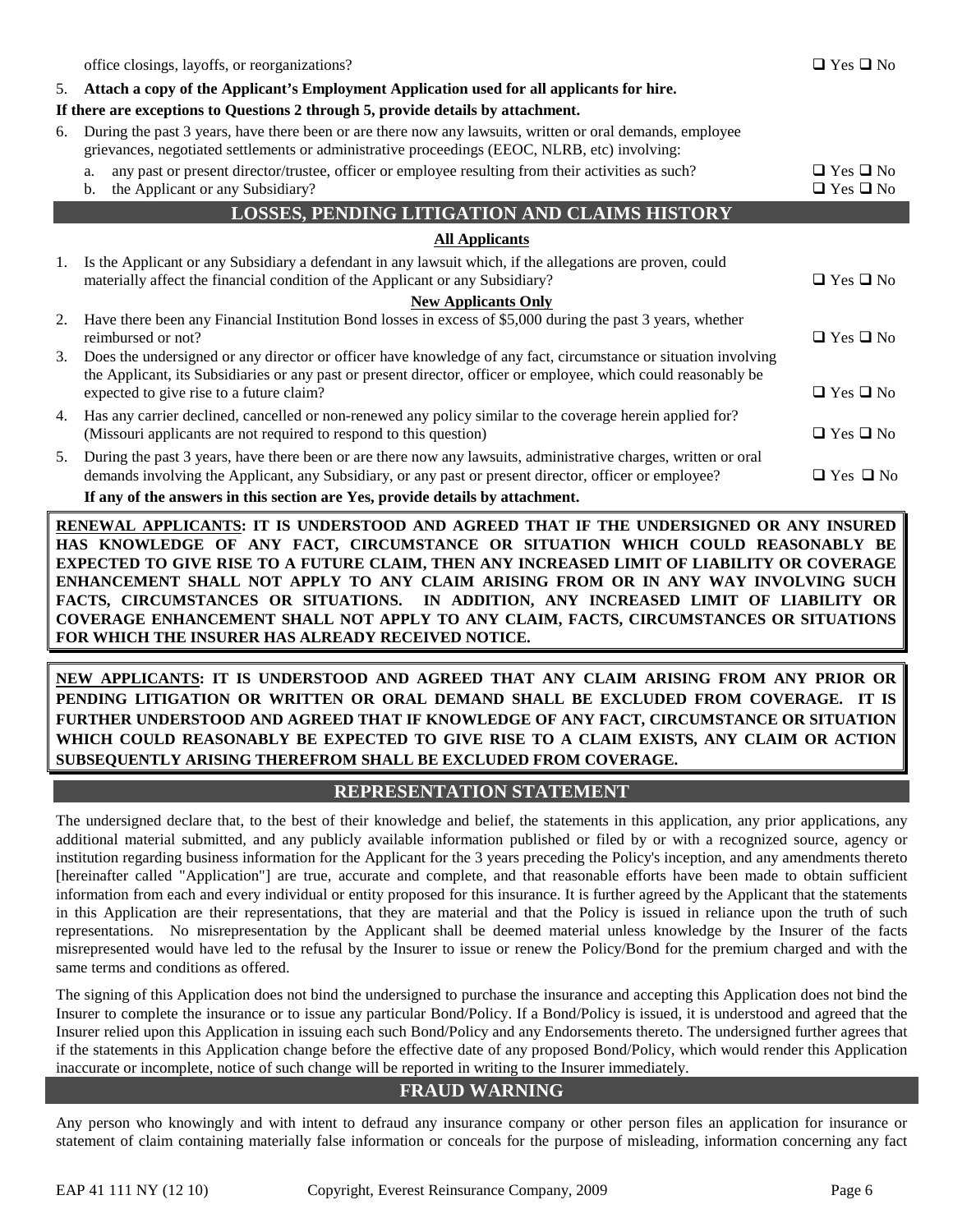|    | office closings, layoffs, or reorganizations?                                                                                                                                                                             | $\Box$ Yes $\Box$ No                         |
|----|---------------------------------------------------------------------------------------------------------------------------------------------------------------------------------------------------------------------------|----------------------------------------------|
| 5. | Attach a copy of the Applicant's Employment Application used for all applicants for hire.                                                                                                                                 |                                              |
|    | If there are exceptions to Questions 2 through 5, provide details by attachment.                                                                                                                                          |                                              |
| 6. | During the past 3 years, have there been or are there now any lawsuits, written or oral demands, employee<br>grievances, negotiated settlements or administrative proceedings (EEOC, NLRB, etc) involving:                |                                              |
|    | any past or present director/trustee, officer or employee resulting from their activities as such?<br>a.<br>the Applicant or any Subsidiary?<br>b.                                                                        | $\Box$ Yes $\Box$ No<br>$\Box$ Yes $\Box$ No |
|    | <b>LOSSES, PENDING LITIGATION AND CLAIMS HISTORY</b>                                                                                                                                                                      |                                              |
|    | <b>All Applicants</b>                                                                                                                                                                                                     |                                              |
| 1. | Is the Applicant or any Subsidiary a defendant in any lawsuit which, if the allegations are proven, could<br>materially affect the financial condition of the Applicant or any Subsidiary?                                | $\Box$ Yes $\Box$ No                         |
|    | <b>New Applicants Only</b>                                                                                                                                                                                                |                                              |
| 2. | Have there been any Financial Institution Bond losses in excess of \$5,000 during the past 3 years, whether<br>reimbursed or not?                                                                                         | $\Box$ Yes $\Box$ No                         |
| 3. | Does the undersigned or any director or officer have knowledge of any fact, circumstance or situation involving                                                                                                           |                                              |
|    | the Applicant, its Subsidiaries or any past or present director, officer or employee, which could reasonably be<br>expected to give rise to a future claim?                                                               | $\Box$ Yes $\Box$ No                         |
| 4. | Has any carrier declined, cancelled or non-renewed any policy similar to the coverage herein applied for?<br>(Missouri applicants are not required to respond to this question)                                           | $\Box$ Yes $\Box$ No                         |
| 5. | During the past 3 years, have there been or are there now any lawsuits, administrative charges, written or oral<br>demands involving the Applicant, any Subsidiary, or any past or present director, officer or employee? | $\Box$ Yes $\Box$ No                         |
|    | If any of the answers in this section are Yes, provide details by attachment.                                                                                                                                             |                                              |

**RENEWAL APPLICANTS: IT IS UNDERSTOOD AND AGREED THAT IF THE UNDERSIGNED OR ANY INSURED HAS KNOWLEDGE OF ANY FACT, CIRCUMSTANCE OR SITUATION WHICH COULD REASONABLY BE EXPECTED TO GIVE RISE TO A FUTURE CLAIM, THEN ANY INCREASED LIMIT OF LIABILITY OR COVERAGE ENHANCEMENT SHALL NOT APPLY TO ANY CLAIM ARISING FROM OR IN ANY WAY INVOLVING SUCH FACTS, CIRCUMSTANCES OR SITUATIONS. IN ADDITION, ANY INCREASED LIMIT OF LIABILITY OR COVERAGE ENHANCEMENT SHALL NOT APPLY TO ANY CLAIM, FACTS, CIRCUMSTANCES OR SITUATIONS FOR WHICH THE INSURER HAS ALREADY RECEIVED NOTICE.**

**NEW APPLICANTS: IT IS UNDERSTOOD AND AGREED THAT ANY CLAIM ARISING FROM ANY PRIOR OR PENDING LITIGATION OR WRITTEN OR ORAL DEMAND SHALL BE EXCLUDED FROM COVERAGE. IT IS FURTHER UNDERSTOOD AND AGREED THAT IF KNOWLEDGE OF ANY FACT, CIRCUMSTANCE OR SITUATION WHICH COULD REASONABLY BE EXPECTED TO GIVE RISE TO A CLAIM EXISTS, ANY CLAIM OR ACTION SUBSEQUENTLY ARISING THEREFROM SHALL BE EXCLUDED FROM COVERAGE.**

## **REPRESENTATION STATEMENT**

The undersigned declare that, to the best of their knowledge and belief, the statements in this application, any prior applications, any additional material submitted, and any publicly available information published or filed by or with a recognized source, agency or institution regarding business information for the Applicant for the 3 years preceding the Policy's inception, and any amendments thereto [hereinafter called "Application"] are true, accurate and complete, and that reasonable efforts have been made to obtain sufficient information from each and every individual or entity proposed for this insurance. It is further agreed by the Applicant that the statements in this Application are their representations, that they are material and that the Policy is issued in reliance upon the truth of such representations. No misrepresentation by the Applicant shall be deemed material unless knowledge by the Insurer of the facts misrepresented would have led to the refusal by the Insurer to issue or renew the Policy/Bond for the premium charged and with the same terms and conditions as offered.

The signing of this Application does not bind the undersigned to purchase the insurance and accepting this Application does not bind the Insurer to complete the insurance or to issue any particular Bond/Policy. If a Bond/Policy is issued, it is understood and agreed that the Insurer relied upon this Application in issuing each such Bond/Policy and any Endorsements thereto. The undersigned further agrees that if the statements in this Application change before the effective date of any proposed Bond/Policy, which would render this Application inaccurate or incomplete, notice of such change will be reported in writing to the Insurer immediately.

## **FRAUD WARNING**

Any person who knowingly and with intent to defraud any insurance company or other person files an application for insurance or statement of claim containing materially false information or conceals for the purpose of misleading, information concerning any fact